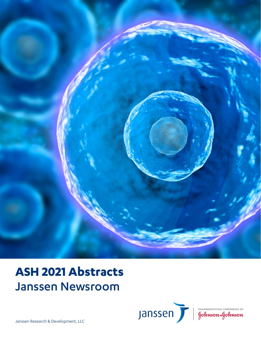

# **ASH 2021 Abstracts** Janssen Newsroom



Janssen Research & Development, LLC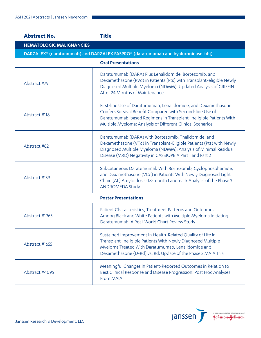| <b>Abstract No.</b>             | <b>Title</b>                                                                                                                                                                                                                                                   |
|---------------------------------|----------------------------------------------------------------------------------------------------------------------------------------------------------------------------------------------------------------------------------------------------------------|
| <b>HEMATOLOGIC MALIGNANCIES</b> |                                                                                                                                                                                                                                                                |
|                                 | DARZALEX <sup>®</sup> (daratumumab) and DARZALEX FASPRO® (daratumumab and hyaluronidase-fihj)                                                                                                                                                                  |
|                                 | <b>Oral Presentations</b>                                                                                                                                                                                                                                      |
| Abstract #79                    | Daratumumab (DARA) Plus Lenalidomide, Bortezomib, and<br>Dexamethasone (RVd) in Patients (Pts) with Transplant-eligible Newly<br>Diagnosed Multiple Myeloma (NDMM): Updated Analysis of GRIFFIN<br>After 24 Months of Maintenance                              |
| Abstract #118                   | First-line Use of Daratumumab, Lenalidomide, and Dexamethasone<br>Confers Survival Benefit Compared with Second-line Use of<br>Daratumumab-based Regimens in Transplant-Ineligible Patients With<br>Multiple Myeloma: Analysis of Different Clinical Scenarios |
| Abstract #82                    | Daratumumab (DARA) with Bortezomib, Thalidomide, and<br>Dexamethasone (VTd) in Transplant-Eligible Patients (Pts) with Newly<br>Diagnosed Multiple Myeloma (NDMM): Analysis of Minimal Residual<br>Disease (MRD) Negativity in CASSIOPEIA Part 1 and Part 2    |
| Abstract #159                   | Subcutaneous Daratumumab With Bortezomib, Cyclophosphamide,<br>and Dexamethasone (VCd) in Patients With Newly Diagnosed Light<br>Chain (AL) Amyloidosis: 18-month Landmark Analysis of the Phase 3<br><b>ANDROMEDA Study</b>                                   |
| <b>Poster Presentations</b>     |                                                                                                                                                                                                                                                                |
| Abstract #1965                  | Patient Characteristics, Treatment Patterns and Outcomes<br>Among Black and White Patients with Multiple Myeloma Initiating<br>Daratumumab: A Real-World Chart Review Study                                                                                    |
| Abstract #1655                  | Sustained Improvement in Health-Related Quality of Life in<br>Transplant-Ineligible Patients With Newly Diagnosed Multiple<br>Myeloma Treated With Daratumumab, Lenalidomide and<br>Dexamethasone (D-Rd) vs. Rd: Update of the Phase 3 MAIA Trial              |
| Abstract #4095                  | Meaningful Changes in Patient-Reported Outcomes in Relation to<br>Best Clinical Response and Disease Progression: Post Hoc Analyses<br>From MAIA                                                                                                               |

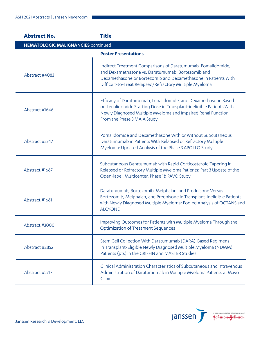| <b>Abstract No.</b>                       | <b>Title</b>                                                                                                                                                                                                                                   |
|-------------------------------------------|------------------------------------------------------------------------------------------------------------------------------------------------------------------------------------------------------------------------------------------------|
| <b>HEMATOLOGIC MALIGNANCIES continued</b> |                                                                                                                                                                                                                                                |
|                                           | <b>Poster Presentations</b>                                                                                                                                                                                                                    |
| Abstract #4083                            | Indirect Treatment Comparisons of Daratumumab, Pomalidomide,<br>and Dexamethasone vs. Daratumumab, Bortezomib and<br>Dexamethasone or Bortezomib and Dexamethasone in Patients With<br>Difficult-to-Treat Relapsed/Refractory Multiple Myeloma |
| Abstract #1646                            | Efficacy of Daratumumab, Lenalidomide, and Dexamethasone Based<br>on Lenalidomide Starting Dose in Transplant-ineligible Patients With<br>Newly Diagnosed Multiple Myeloma and Impaired Renal Function<br>From the Phase 3 MAIA Study          |
| Abstract #2747                            | Pomalidomide and Dexamethasone With or Without Subcutaneous<br>Daratumumab in Patients With Relapsed or Refractory Multiple<br>Myeloma: Updated Analysis of the Phase 3 APOLLO Study                                                           |
| Abstract #1667                            | Subcutaneous Daratumumab with Rapid Corticosteroid Tapering in<br>Relapsed or Refractory Multiple Myeloma Patients: Part 3 Update of the<br>Open-label, Multicenter, Phase 1b PAVO Study                                                       |
| Abstract #1661                            | Daratumumab, Bortezomib, Melphalan, and Prednisone Versus<br>Bortezomib, Melphalan, and Prednisone in Transplant-Ineligible Patients<br>with Newly Diagnosed Multiple Myeloma: Pooled Analysis of OCTANS and<br><b>ALCYONE</b>                 |
| Abstract #3000                            | Improving Outcomes for Patients with Multiple Myeloma Through the<br>Optimization of Treatment Sequences                                                                                                                                       |
| Abstract #2852                            | Stem Cell Collection With Daratumumab (DARA)-Based Regimens<br>in Transplant-Eligible Newly Diagnosed Multiple Myeloma (NDMM)<br>Patients (pts) in the GRIFFIN and MASTER Studies                                                              |
| Abstract #2717                            | Clinical Administration Characteristics of Subcutaneous and Intravenous<br>Administration of Daratumumab in Multiple Myeloma Patients at Mayo<br>Clinic                                                                                        |

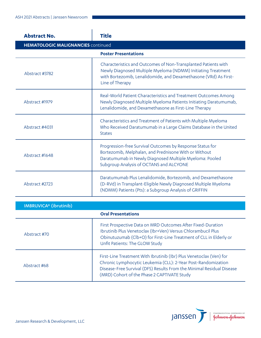| <b>Abstract No.</b>                       | <b>Title</b>                                                                                                                                                                                                             |
|-------------------------------------------|--------------------------------------------------------------------------------------------------------------------------------------------------------------------------------------------------------------------------|
| <b>HEMATOLOGIC MALIGNANCIES</b> continued |                                                                                                                                                                                                                          |
|                                           | <b>Poster Presentations</b>                                                                                                                                                                                              |
| Abstract #3782                            | Characteristics and Outcomes of Non-Transplanted Patients with<br>Newly Diagnosed Multiple Myeloma (NDMM) Initiating Treatment<br>with Bortezomib, Lenalidomide, and Dexamethasone (VRd) As First-<br>Line of Therapy    |
| Abstract #1979                            | Real-World Patient Characteristics and Treatment Outcomes Among<br>Newly Diagnosed Multiple Myeloma Patients Initiating Daratumumab,<br>Lenalidomide, and Dexamethasone as First-Line Therapy                            |
| Abstract #4031                            | Characteristics and Treatment of Patients with Multiple Myeloma<br>Who Received Daratumumab in a Large Claims Database in the United<br><b>States</b>                                                                    |
| Abstract #1648                            | Progression-free Survival Outcomes by Response Status for<br>Bortezomib, Melphalan, and Prednisone With or Without<br>Daratumumab in Newly Diagnosed Multiple Myeloma: Pooled<br>Subgroup Analysis of OCTANS and ALCYONE |
| Abstract #2723                            | Daratumumab Plus Lenalidomide, Bortezomib, and Dexamethasone<br>(D-RVd) in Transplant-Eligible Newly Diagnosed Multiple Myeloma<br>(NDMM) Patients (Pts): a Subgroup Analysis of GRIFFIN                                 |

| <b>IMBRUVICA<sup>®</sup></b> (ibrutinib) |                                                                                                                                                                                                                                                              |
|------------------------------------------|--------------------------------------------------------------------------------------------------------------------------------------------------------------------------------------------------------------------------------------------------------------|
|                                          | <b>Oral Presentations</b>                                                                                                                                                                                                                                    |
| Abstract #70                             | First Prospective Data on MRD Outcomes After Fixed-Duration<br>Ibrutinib Plus Venetoclax (Ibr+Ven) Versus Chlorambucil Plus<br>Obinutuzumab (Clb+O) for First-Line Treatment of CLL in Elderly or<br>Unfit Patients: The GLOW Study                          |
| Abstract #68                             | First-Line Treatment With Ibrutinib (Ibr) Plus Venetoclax (Ven) for<br>Chronic Lymphocytic Leukemia (CLL): 2-Year Post-Randomization<br>Disease-Free Survival (DFS) Results From the Minimal Residual Disease<br>(MRD) Cohort of the Phase 2 CAPTIVATE Study |

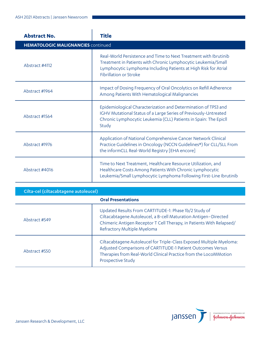| <b>Abstract No.</b> | <b>Title</b>                                                                                                                                                                                                                          |  |
|---------------------|---------------------------------------------------------------------------------------------------------------------------------------------------------------------------------------------------------------------------------------|--|
|                     | <b>HEMATOLOGIC MALIGNANCIES continued</b>                                                                                                                                                                                             |  |
| Abstract #4112      | Real-World Persistence and Time to Next Treatment with Ibrutinib<br>Treatment in Patients with Chronic Lymphocytic Leukemia/Small<br>Lymphocytic Lymphoma Including Patients at High Risk for Atrial<br><b>Fibrillation or Stroke</b> |  |
| Abstract #1964      | Impact of Dosing Frequency of Oral Oncolytics on Refill Adherence<br>Among Patients With Hematological Malignancies                                                                                                                   |  |
| Abstract #1564      | Epidemiological Characterization and Determination of TP53 and<br>IGHV Mutational Status of a Large Series of Previously-Untreated<br>Chronic Lymphocytic Leukemia (CLL) Patients in Spain: The Epicll<br>Study                       |  |
| Abstract #1976      | Application of National Comprehensive Cancer Network Clinical<br>Practice Guidelines in Oncology (NCCN Guidelines®) for CLL/SLL From<br>the informCLL Real-World Registry [EHA encore]                                                |  |
| Abstract #4016      | Time to Next Treatment, Healthcare Resource Utilization, and<br>Healthcare Costs Among Patients With Chronic Lymphocytic<br>Leukemia/Small Lymphocytic Lymphoma Following First-Line Ibrutinib                                        |  |

| Cilta-cel (ciltacabtagene autoleucel) |                                                                                                                                                                                                                                 |
|---------------------------------------|---------------------------------------------------------------------------------------------------------------------------------------------------------------------------------------------------------------------------------|
| <b>Oral Presentations</b>             |                                                                                                                                                                                                                                 |
| Abstract #549                         | Updated Results From CARTITUDE-1: Phase 1b/2 Study of<br>Ciltacabtagene Autoleucel, a B-cell Maturation Antigen-Directed<br>Chimeric Antigen Receptor T Cell Therapy, in Patients With Relapsed/<br>Refractory Multiple Myeloma |
| Abstract #550                         | Ciltacabtagene Autoleucel for Triple-Class Exposed Multiple Myeloma:<br>Adjusted Comparisons of CARTITUDE-1 Patient Outcomes Versus<br>Therapies from Real-World Clinical Practice from the LocoMMotion<br>Prospective Study    |

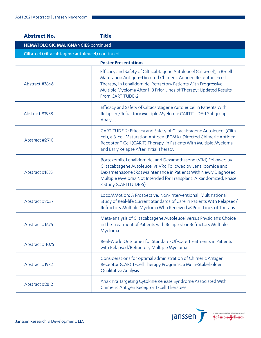| <b>Abstract No.</b>                             | <b>Title</b>                                                                                                                                                                                                                                                                                      |
|-------------------------------------------------|---------------------------------------------------------------------------------------------------------------------------------------------------------------------------------------------------------------------------------------------------------------------------------------------------|
| <b>HEMATOLOGIC MALIGNANCIES continued</b>       |                                                                                                                                                                                                                                                                                                   |
| Cilta-cel (ciltacabtagene autoleucel) continued |                                                                                                                                                                                                                                                                                                   |
|                                                 | <b>Poster Presentations</b>                                                                                                                                                                                                                                                                       |
| Abstract #3866                                  | Efficacy and Safety of Ciltacabtagene Autoleucel (Cilta-cel), a B-cell<br>Maturation Antigen-Directed Chimeric Antigen Receptor T-cell<br>Therapy, in Lenalidomide-Refractory Patients With Progressive<br>Multiple Myeloma After 1-3 Prior Lines of Therapy: Updated Results<br>From CARTITUDE-2 |
| Abstract #3938                                  | Efficacy and Safety of Ciltacabtagene Autoleucel in Patients With<br>Relapsed/Refractory Multiple Myeloma: CARTITUDE-1 Subgroup<br>Analysis                                                                                                                                                       |
| Abstract #2910                                  | CARTITUDE-2: Efficacy and Safety of Ciltacabtagene Autoleucel (Cilta-<br>cel), a B-cell Maturation Antigen (BCMA)-Directed Chimeric Antigen<br>Receptor T Cell (CAR T) Therapy, in Patients With Multiple Myeloma<br>and Early Relapse After Initial Therapy                                      |
| Abstract #1835                                  | Bortezomib, Lenalidomide, and Dexamethasone (VRd) Followed by<br>Ciltacabtagene Autoleucel vs VRd Followed by Lenalidomide and<br>Dexamethasone (Rd) Maintenance in Patients With Newly Diagnosed<br>Multiple Myeloma Not Intended for Transplant: A Randomized, Phase<br>3 Study (CARTITUDE-5)   |
| Abstract #3057                                  | LocoMMotion: A Prospective, Non-interventional, Multinational<br>Study of Real-life Current Standards of Care in Patients With Relapsed/<br>Refractory Multiple Myeloma Who Received ≥3 Prior Lines of Therapy                                                                                    |
| Abstract #1676                                  | Meta-analysis of Ciltacabtagene Autoleucel versus Physician's Choice<br>in the Treatment of Patients with Relapsed or Refractory Multiple<br>Myeloma                                                                                                                                              |
| Abstract #4075                                  | Real-World Outcomes for Standard-Of-Care Treatments in Patients<br>with Relapsed/Refractory Multiple Myeloma                                                                                                                                                                                      |
| Abstract #1932                                  | Considerations for optimal administration of Chimeric Antigen<br>Receptor (CAR) T-Cell Therapy Programs: a Multi-Stakeholder<br>Qualitative Analysis                                                                                                                                              |
| Abstract #2812                                  | Anakinra Targeting Cytokine Release Syndrome Associated With<br>Chimeric Antigen Receptor T-cell Therapies                                                                                                                                                                                        |

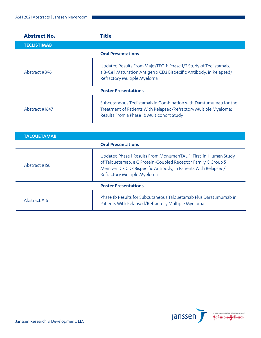| <b>Abstract No.</b> | <b>Title</b>                                                                                                                                                                                                                      |
|---------------------|-----------------------------------------------------------------------------------------------------------------------------------------------------------------------------------------------------------------------------------|
| <b>TECLISTIMAB</b>  |                                                                                                                                                                                                                                   |
|                     | <b>Oral Presentations</b>                                                                                                                                                                                                         |
| Abstract #896       | Updated Results From MajesTEC-1: Phase 1/2 Study of Teclistamab,<br>a B-Cell Maturation Antigen x CD3 Bispecific Antibody, in Relapsed/<br>Refractory Multiple Myeloma                                                            |
|                     | <b>Poster Presentations</b>                                                                                                                                                                                                       |
| Abstract #1647      | Subcutaneous Teclistamab in Combination with Daratumumab for the<br>Treatment of Patients With Relapsed/Refractory Multiple Myeloma:<br>Results From a Phase 1b Multicohort Study                                                 |
|                     |                                                                                                                                                                                                                                   |
| <b>TALQUETAMAB</b>  |                                                                                                                                                                                                                                   |
|                     | <b>Oral Presentations</b>                                                                                                                                                                                                         |
| Abstract #158       | Updated Phase 1 Results From MonumenTAL-1: First-in-Human Study<br>of Talquetamab, a G Protein-Coupled Receptor Family C Group 5<br>Member D x CD3 Bispecific Antibody, in Patients With Relapsed/<br>Refractory Multiple Myeloma |

|               | <b>Poster Presentations</b>                                                                                             |
|---------------|-------------------------------------------------------------------------------------------------------------------------|
| Abstract #161 | Phase 1b Results for Subcutaneous Talquetamab Plus Daratumumab in<br>Patients With Relapsed/Refractory Multiple Myeloma |

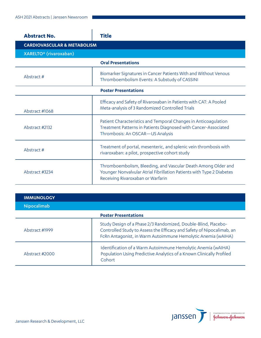| <b>Abstract No.</b>                    | <b>Title</b>                                                                                                                                                                |
|----------------------------------------|-----------------------------------------------------------------------------------------------------------------------------------------------------------------------------|
| <b>CARDIOVASCULAR &amp; METABOLISM</b> |                                                                                                                                                                             |
| XARELTO <sup>®</sup> (rivaroxaban)     |                                                                                                                                                                             |
|                                        | <b>Oral Presentations</b>                                                                                                                                                   |
| Abstract #                             | Biomarker Signatures in Cancer Patients With and Without Venous<br>Thromboembolism Events: A Substudy of CASSINI                                                            |
| <b>Poster Presentations</b>            |                                                                                                                                                                             |
| Abstract #1068                         | Efficacy and Safety of Rivaroxaban in Patients with CAT: A Pooled<br>Meta-analysis of 3 Randomized Controlled Trials                                                        |
| Abstract #2132                         | Patient Characteristics and Temporal Changes in Anticoagulation<br>Treatment Patterns in Patients Diagnosed with Cancer-Associated<br>Thrombosis: An OSCAR-US Analysis      |
| Abstract #                             | Treatment of portal, mesenteric, and splenic vein thrombosis with<br>rivaroxaban: a pilot, prospective cohort study                                                         |
| Abstract #3234                         | Thromboembolism, Bleeding, and Vascular Death Among Older and<br>Younger Nonvalvular Atrial Fibrillation Patients with Type 2 Diabetes<br>Receiving Rivaroxaban or Warfarin |

| <b>IMMUNOLOGY</b> |                                                                                                                                                                                                         |
|-------------------|---------------------------------------------------------------------------------------------------------------------------------------------------------------------------------------------------------|
| Nipocalimab       |                                                                                                                                                                                                         |
|                   | <b>Poster Presentations</b>                                                                                                                                                                             |
| Abstract #1999    | Study Design of a Phase 2/3 Randomized, Double-Blind, Placebo-<br>Controlled Study to Assess the Efficacy and Safety of Nipocalimab, an<br>FcRn Antagonist, in Warm Autoimmune Hemolytic Anemia (wAIHA) |
| Abstract #2000    | Identification of a Warm Autoimmune Hemolytic Anemia (wAIHA)<br>Population Using Predictive Analytics of a Known Clinically Profiled<br>Cohort                                                          |

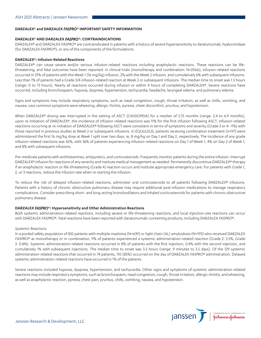# **DARZALEX® and DARZALEX** *FASPRO***® IMPORTANT SAFETY INFORMATION**

#### **DARZALEX® AND DARZALEX** *FASPRO***®: CONTRAINDICATIONS**

DARZALEX® and DARZALEX *FASPRO*® are contraindicated in patients with a history of severe hypersensitivity to daratumumab, hyaluronidase (for DARZALEX *FASPRO*®), or any of the components of the formulations.

## **DARZALEX®: Infusion-Related Reactions**

DARZALEX® can cause severe and/or serious infusion-related reactions including anaphylactic reactions. These reactions can be lifethreatening, and fatal outcomes have been reported. In clinical trials (monotherapy and combination: N=2066), infusion-related reactions occurred in 37% of patients with the Week 1 (16 mg/kg) infusion, 2% with the Week 2 infusion, and cumulatively 6% with subsequent infusions. Less than 1% of patients had a Grade 3/4 infusion-related reaction at Week 2 or subsequent infusions. The median time to onset was 1.5 hours (range: 0 to 73 hours). Nearly all reactions occurred during infusion or within 4 hours of completing DARZALEX®. Severe reactions have occurred, including bronchospasm, hypoxia, dyspnea, hypertension, tachycardia, headache, laryngeal edema, and pulmonary edema.

Signs and symptoms may include respiratory symptoms, such as nasal congestion, cough, throat irritation, as well as chills, vomiting, and nausea. Less common symptoms were wheezing, allergic rhinitis, pyrexia, chest discomfort, pruritus, and hypotension.

When DARZALEX<sup>®</sup> dosing was interrupted in the setting of ASCT (CASSIOPEIA) for a median of 3.75 months (range: 2.4 to 6.9 months), upon re-initiation of DARZALEX®, the incidence of infusion-related reactions was 11% for the first infusion following ASCT. Infusion-related reactions occurring at re-initiation of DARZALEX® following ASCT were consistent in terms of symptoms and severity (Grade 3 or 4: <1%) with those reported in previous studies at Week 2 or subsequent infusions. In EQUULEUS, patients receiving combination treatment (n=97) were administered the first 16 mg/kg dose at Week 1 split over two days, ie, 8 mg/kg on Day 1 and Day 2, respectively. The incidence of any grade infusion-related reactions was 42%, with 36% of patients experiencing infusion-related reactions on Day 1 of Week 1, 4% on Day 2 of Week 1, and 8% with subsequent infusions.

Pre-medicate patients with antihistamines, antipyretics, and corticosteroids. Frequently monitor patients during the entire infusion. Interrupt DARZALEX® infusion for reactions of any severity and institute medical management as needed. Permanently discontinue DARZALEX® therapy if an anaphylactic reaction or life-threatening (Grade 4) reaction occurs and institute appropriate emergency care. For patients with Grade 1, 2, or 3 reactions, reduce the infusion rate when re-starting the infusion.

To reduce the risk of delayed infusion-related reactions, administer oral corticosteroids to all patients following DARZALEX® infusions. Patients with a history of chronic obstructive pulmonary disease may require additional post-infusion medications to manage respiratory complications. Consider prescribing short- and long-acting bronchodilators and inhaled corticosteroids for patients with chronic obstructive pulmonary disease.

# **DARZALEX** *FASPRO***®: Hypersensitivity and Other Administration Reactions**

Both systemic administration-related reactions, including severe or life-threatening reactions, and local injection-site reactions can occur with DARZALEX *FASPRO*®. Fatal reactions have been reported with daratumumab-containing products, including DARZALEX *FASPRO*®.

#### *Systemic Reactions*

In a pooled safety population of 832 patients with multiple myeloma (N=639) or light chain (AL) amyloidosis (N=193) who received DARZALEX *FASPRO*® as monotherapy or in combination, 9% of patients experienced a systemic administration-related reaction (Grade 2: 3.5%, Grade 3: 0.8%). Systemic administration-related reactions occurred in 8% of patients with the first injection, 0.4% with the second injection, and cumulatively 1% with subsequent injections. The median time to onset was 3.2 hours (range: 9 minutes to 3.5 days). Of the 129 systemic administration-related reactions that occurred in 74 patients, 110 (85%) occurred on the day of DARZALEX *FASPRO*® administration. Delayed systemic administration-related reactions have occurred in 1% of the patients.

Severe reactions included hypoxia, dyspnea, hypertension, and tachycardia. Other signs and symptoms of systemic administration-related reactions may include respiratory symptoms, such as bronchospasm, nasal congestion, cough, throat irritation, allergic rhinitis, and wheezing, as well as anaphylactic reaction, pyrexia, chest pain, pruritus, chills, vomiting, nausea, and hypotension.

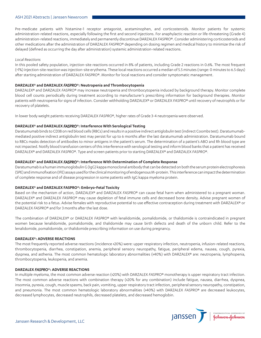# ASH 2021 Abstracts | Janssen Newsroom

Pre-medicate patients with histamine-1 receptor antagonist, acetaminophen, and corticosteroids. Monitor patients for systemic administration-related reactions, especially following the first and second injections. For anaphylactic reaction or life-threatening (Grade 4) administration-related reactions, immediately and permanently discontinue DARZALEX *FASPRO*®. Consider administering corticosteroids and other medications after the administration of DARZALEX *FASPRO*® depending on dosing regimen and medical history to minimize the risk of delayed (defined as occurring the day after administration) systemic administration-related reactions.

# *Local Reactions*

In this pooled safety population, injection-site reactions occurred in 8% of patients, including Grade 2 reactions in 0.6%. The most frequent (>1%) injection-site reaction was injection-site erythema. These local reactions occurred a median of 5.5 minutes (range: 0 minutes to 6.5 days) after starting administration of DARZALEX *FASPRO*®. Monitor for local reactions and consider symptomatic management.

# **DARZALEX® and DARZALEX** *FASPRO***®: Neutropenia and Thrombocytopenia**

DARZALEX® and DARZALEX *FASPRO*® may increase neutropenia and thrombocytopenia induced by background therapy. Monitor complete blood cell counts periodically during treatment according to manufacturer's prescribing information for background therapies. Monitor patients with neutropenia for signs of infection. Consider withholding DARZALEX® or DARZALEX *FASPRO*® until recovery of neutrophils or for recovery of platelets.

In lower body weight patients receiving DARZALEX *FASPRO*®, higher rates of Grade 3-4 neutropenia were observed.

# **DARZALEX® and DARZALEX** *FASPRO***®: Interference With Serological Testing**

Daratumumab binds to CD38 on red blood cells (RBCs) and results in a positive indirect antiglobulin test (indirect Coombs test). Daratumumabmediated positive indirect antiglobulin test may persist for up to 6 months after the last daratumumab administration. Daratumumab bound to RBCs masks detection of antibodies to minor antigens in the patient's serum. The determination of a patient's ABO and Rh blood type are not impacted. Notify blood transfusion centers of this interference with serological testing and inform blood banks that a patient has received DARZALEX® and DARZALEX *FASPRO*®. Type and screen patients prior to starting DARZALEX® and DARZALEX *FASPRO*®.

# **DARZALEX® and DARZALEX** *FASPRO***®: Interference With Determination of Complete Response**

Daratumumab is a human immunoglobulin G (IgG) kappa monoclonal antibody that can be detected on both the serum protein electrophoresis (SPE) and immunofixation (IFE) assays used for the clinical monitoring of endogenous M-protein. This interference can impact the determination of complete response and of disease progression in some patients with IgG kappa myeloma protein.

# **DARZALEX® and DARZALEX FASPRO®: Embryo-Fetal Toxicity**

Based on the mechanism of action, DARZALEX® and DARZALEX *FASPRO*® can cause fetal harm when administered to a pregnant woman. DARZALEX® and DARZALEX *FASPRO*® may cause depletion of fetal immune cells and decreased bone density. Advise pregnant women of the potential risk to a fetus. Advise females with reproductive potential to use effective contraception during treatment with DARZALEX® or DARZALEX *FASPRO*® and for 3 months after the last dose.

The combination of DARZALEX® or DARZALEX *FASPRO*® with lenalidomide, pomalidomide, or thalidomide is contraindicated in pregnant women because lenalidomide, pomalidomide, and thalidomide may cause birth defects and death of the unborn child. Refer to the lenalidomide, pomalidomide, or thalidomide prescribing information on use during pregnancy.

#### **DARZALEX®: ADVERSE REACTIONS**

The most frequently reported adverse reactions (incidence ≥20%) were: upper respiratory infection, neutropenia, infusion-related reactions, thrombocytopenia, diarrhea, constipation, anemia, peripheral sensory neuropathy, fatigue, peripheral edema, nausea, cough, pyrexia, dyspnea, and asthenia. The most common hematologic laboratory abnormalities (≥40%) with DARZALEX® are: neutropenia, lymphopenia, thrombocytopenia, leukopenia, and anemia.

#### **DARZALEX** *FASPRO***®: ADVERSE REACTIONS**

In multiple myeloma, the most common adverse reaction (≥20%) with DARZALEX *FASPRO*® monotherapy is upper respiratory tract infection. The most common adverse reactions with combination therapy (≥20% for any combination) include fatigue, nausea, diarrhea, dyspnea, insomnia, pyrexia, cough, muscle spasms, back pain, vomiting, upper respiratory tract infection, peripheral sensory neuropathy, constipation, and pneumonia. The most common hematologic laboratory abnormalities (≥40%) with DARZALEX *FASPRO*® are decreased leukocytes, decreased lymphocytes, decreased neutrophils, decreased platelets, and decreased hemoglobin.

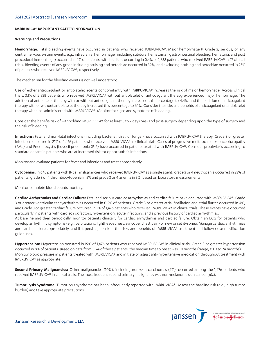# **IMBRUVICA® IMPORTANT SAFETY INFORMATION**

#### **Warnings and Precautions**

Hemorrhage: Fatal bleeding events have occurred in patients who received IMBRUVICA®. Major hemorrhage (≥ Grade 3, serious, or any central nervous system events; e.g., intracranial hemorrhage [including subdural hematoma], gastrointestinal bleeding, hematuria, and post procedural hemorrhage) occurred in 4% of patients, with fatalities occurring in 0.4% of 2,838 patients who received IMBRUVICA® in 27 clinical trials. Bleeding events of any grade including bruising and petechiae occurred in 39%, and excluding bruising and petechiae occurred in 23% of patients who received IMBRUVICA®, respectively.

The mechanism for the bleeding events is not well understood.

Use of either anticoagulant or antiplatelet agents concomitantly with IMBRUVICA® increases the risk of major hemorrhage. Across clinical trials, 3.1% of 2,838 patients who received IMBRUVICA® without antiplatelet or anticoagulant therapy experienced major hemorrhage. The addition of antiplatelet therapy with or without anticoagulant therapy increased this percentage to 4.4%, and the addition of anticoagulant therapy with or without antiplatelet therapy increased this percentage to 6.1%. Consider the risks and benefits of anticoagulant or antiplatelet therapy when co-administered with IMBRUVICA®. Monitor for signs and symptoms of bleeding.

Consider the benefit-risk of withholding IMBRUVICA® for at least 3 to 7 days pre- and post-surgery depending upon the type of surgery and the risk of bleeding.

Infections: Fatal and non-fatal infections (including bacterial, viral, or fungal) have occurred with IMBRUVICA® therapy. Grade 3 or greater infections occurred in 21% of 1,476 patients who received IMBRUVICA® in clinical trials. Cases of progressive multifocal leukoencephalopathy (PML) and Pneumocystis jirovecii pneumonia (PJP) have occurred in patients treated with IMBRUVICA®. Consider prophylaxis according to standard of care in patients who are at increased risk for opportunistic infections.

Monitor and evaluate patients for fever and infections and treat appropriately.

**Cytopenias:** In 645 patients with B-cell malignancies who received IMBRUVICA® as a single agent, grade 3 or 4 neutropenia occurred in 23% of patients, grade 3 or 4 thrombocytopenia in 8% and grade 3 or 4 anemia in 3%, based on laboratory measurements.

Monitor complete blood counts monthly.

**Cardiac Arrhythmias and Cardiac Failure:** Fatal and serious cardiac arrhythmias and cardiac failure have occurred with IMBRUVICA®. Grade 3 or greater ventricular tachyarrhythmias occurred in 0.2% of patients, Grade 3 or greater atrial fibrillation and atrial flutter occurred in 4%, and Grade 3 or greater cardiac failure occurred in 1% of 1,476 patients who received IMBRUVICA® in clinical trials. These events have occurred particularly in patients with cardiac risk factors, hypertension, acute infections, and a previous history of cardiac arrhythmias. At baseline and then periodically, monitor patients clinically for cardiac arrhythmias and cardiac failure. Obtain an ECG for patients who develop arrhythmic symptoms (e.g., palpitations, lightheadedness, syncope, chest pain) or new onset dyspnea. Manage cardiac arrhythmias and cardiac failure appropriately, and if it persists, consider the risks and benefits of IMBRUVICA® treatment and follow dose modification guidelines.

Hypertension: Hypertension occurred in 19% of 1,476 patients who received IMBRUVICA® in clinical trials. Grade 3 or greater hypertension occurred in 8% of patients. Based on data from 1,124 of these patients, the median time to onset was 5.9 months (range, 0.03 to 24 months). Monitor blood pressure in patients treated with IMBRUVICA® and initiate or adjust anti-hypertensive medication throughout treatment with IMBRUVICA® as appropriate.

**Second Primary Malignancies:** Other malignancies (10%), including non-skin carcinomas (4%), occurred among the 1,476 patients who received IMBRUVICA® in clinical trials. The most frequent second primary malignancy was non-melanoma skin cancer (6%).

**Tumor Lysis Syndrome:** Tumor lysis syndrome has been infrequently reported with IMBRUVICA®. Assess the baseline risk (e.g., high tumor burden) and take appropriate precautions.

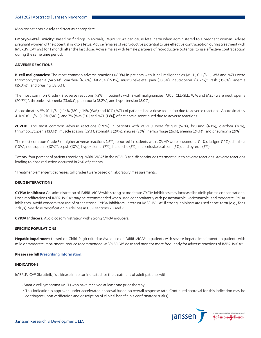Monitor patients closely and treat as appropriate.

**Embryo-Fetal Toxicity:** Based on findings in animals, IMBRUVICA® can cause fetal harm when administered to a pregnant woman. Advise pregnant women of the potential risk to a fetus. Advise females of reproductive potential to use effective contraception during treatment with IMBRUVICA® and for 1 month after the last dose. Advise males with female partners of reproductive potential to use effective contraception during the same time period.

# **ADVERSE REACTIONS**

**B-cell malignancies:** The most common adverse reactions (≥30%) in patients with B-cell malignancies (MCL, CLL/SLL, WM and MZL) were thrombocytopenia (54.5%)\*, diarrhea (43.8%), fatigue (39.1%), musculoskeletal pain (38.8%), neutropenia (38.6%)\*, rash (35.8%), anemia (35.0%)\*, and bruising (32.0%).

The most common Grade ≥ 3 adverse reactions (≥5%) in patients with B-cell malignancies (MCL, CLL/SLL, WM and MZL) were neutropenia (20.7%)\*, thrombocytopenia (13.6%)\*, pneumonia (8.2%), and hypertension (8.0%).

Approximately 9% (CLL/SLL), 14% (MCL), 14% (WM) and 10% (MZL) of patients had a dose reduction due to adverse reactions. Approximately 4-10% (CLL/SLL), 9% (MCL), and 7% (WM [5%] and MZL [13%]) of patients discontinued due to adverse reactions.

**cGVHD:** The most common adverse reactions (≥20%) in patients with cGVHD were fatigue (57%), bruising (40%), diarrhea (36%), thrombocytopenia (33%)\*, muscle spasms (29%), stomatitis (29%), nausea (26%), hemorrhage (26%), anemia (24%)\*, and pneumonia (21%).

The most common Grade 3 or higher adverse reactions (≥5%) reported in patients with cGVHD were pneumonia (14%), fatigue (12%), diarrhea (10%), neutropenia (10%)\*, sepsis (10%), hypokalemia (7%), headache (5%), musculoskeletal pain (5%), and pyrexia (5%).

Twenty-four percent of patients receiving IMBRUVICA® in the cGVHD trial discontinued treatment due to adverse reactions. Adverse reactions leading to dose reduction occurred in 26% of patients.

\*Treatment-emergent decreases (all grades) were based on laboratory measurements.

## **DRUG INTERACTIONS**

**CYP3A Inhibitors:** Co-administration of IMBRUVICA® with strong or moderate CYP3A inhibitors may increase ibrutinib plasma concentrations. Dose modifications of IMBRUVICA® may be recommended when used concomitantly with posaconazole, voriconazole, and moderate CYP3A inhibitors. Avoid concomitant use of other strong CYP3A inhibitors. Interrupt IMBRUVICA® if strong inhibitors are used short-term (e.g., for ≤ 7 days). See dose modification guidelines in USPI sections 2.3 and 7.1.

**CYP3A Inducers:** Avoid coadministration with strong CYP3A inducers.

#### **SPECIFIC POPULATIONS**

**Hepatic Impairment** (based on Child-Pugh criteria): Avoid use of IMBRUVICA® in patients with severe hepatic impairment. In patients with mild or moderate impairment, reduce recommended IMBRUVICA® dose and monitor more frequently for adverse reactions of IMBRUVICA®.

#### **Please see full [Prescribing Information.](https://www.imbruvica.com/files/prescribing-information.pdf)**

#### **INDICATIONS**

IMBRUVICA® (ibrutinib) is a kinase inhibitor indicated for the treatment of adult patients with:

- Mantle cell lymphoma (MCL) who have received at least one prior therapy.
- ° This indication is approved under accelerated approval based on overall response rate. Continued approval for this indication may be contingent upon verification and description of clinical benefit in a confirmatory trial(s).

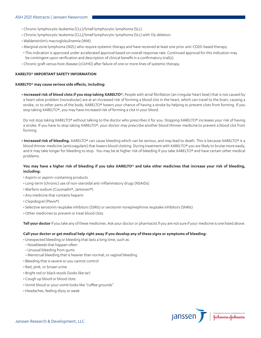- Chronic lymphocytic leukemia (CLL)/Small lymphocytic lymphoma (SLL).
- Chronic lymphocytic leukemia (CLL)/Small lymphocytic lymphoma (SLL) with 17p deletion.
- Waldenström's macroglobulinemia (WM).
- Marginal zone lymphoma (MZL) who require systemic therapy and have received at least one prior anti-CD20-based therapy.
- ° This indication is approved under accelerated approval based on overall response rate. Continued approval for this indication may be contingent upon verification and description of clinical benefit in a confirmatory trial(s).
- Chronic graft versus host disease (cGVHD) after failure of one or more lines of systemic therapy.

# **XARELTO® IMPORTANT SAFETY INFORMATION**

# **XARELTO® may cause serious side effects, including:**

**• Increased risk of blood clots if you stop taking XARELTO®.** People with atrial fibrillation (an irregular heart beat) that is not caused by a heart valve problem (nonvalvular) are at an increased risk of forming a blood clot in the heart, which can travel to the brain, causing a stroke, or to other parts of the body. XARELTO® lowers your chance of having a stroke by helping to prevent clots from forming. If you stop taking XARELTO®, you may have increased risk of forming a clot in your blood.

Do not stop taking XARELTO® without talking to the doctor who prescribes it for you. Stopping XARELTO® increases your risk of having a stroke. If you have to stop taking XARELTO®, your doctor may prescribe another blood thinner medicine to prevent a blood clot from forming.

**• Increased risk of bleeding.** XARELTO® can cause bleeding which can be serious, and may lead to death. This is because XARELTO® is a blood thinner medicine (anticoagulant) that lowers blood clotting. During treatment with XARELTO® you are likely to bruise more easily, and it may take longer for bleeding to stop. You may be at higher risk of bleeding if you take XARELTO® and have certain other medical problems.

# **You may have a higher risk of bleeding if you take XARELTO® and take other medicines that increase your risk of bleeding, including:**

- ° Aspirin or aspirin-containing products
- ° Long-term (chronic) use of non-steroidal anti-inflammatory drugs (NSAIDs)
- ° Warfarin sodium (Coumadin®, Jantoven®)
- ° Any medicine that contains heparin
- ° Clopidogrel (Plavix®)
- ° Selective serotonin reuptake inhibitors (SSRIs) or serotonin norepinephrine reuptake inhibitors (SNRIs)
- ° Other medicines to prevent or treat blood clots

**Tell your doctor** if you take any of these medicines. Ask your doctor or pharmacist if you are not sure if your medicine is one listed above.

# **Call your doctor or get medical help right away if you develop any of these signs or symptoms of bleeding:**

° Unexpected bleeding or bleeding that lasts a long time, such as:

- Nosebleeds that happen often
- Unusual bleeding from gums
- Menstrual bleeding that is heavier than normal, or vaginal bleeding
- ° Bleeding that is severe or you cannot control
- ° Red, pink, or brown urine
- ° Bright red or black stools (looks like tar)
- ° Cough up blood or blood clots
- ° Vomit blood or your vomit looks like "coffee grounds"
- ° Headaches, feeling dizzy or weak

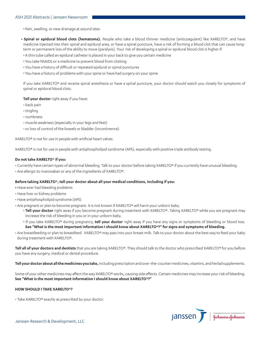° Pain, swelling, or new drainage at wound sites

- **Spinal or epidural blood clots (hematoma).** People who take a blood thinner medicine (anticoagulant) like XARELTO®, and have medicine injected into their spinal and epidural area, or have a spinal puncture, have a risk of forming a blood clot that can cause longterm or permanent loss of the ability to move (paralysis). Your risk of developing a spinal or epidural blood clot is higher if:
- ° A thin tube called an epidural catheter is placed in your back to give you certain medicine
- ° You take NSAIDs or a medicine to prevent blood from clotting
- ° You have a history of difficult or repeated epidural or spinal punctures
- ° You have a history of problems with your spine or have had surgery on your spine

If you take XARELTO® and receive spinal anesthesia or have a spinal puncture, your doctor should watch you closely for symptoms of spinal or epidural blood clots.

**Tell your doctor** right away if you have:

- back pain
- tingling
- numbness
- muscle weakness (especially in your legs and feet)
- or loss of control of the bowels or bladder (incontinence)

XARELTO® is not for use in people with artificial heart valves.

XARELTO® is not for use in people with antiphospholipid syndrome (APS), especially with positive triple antibody testing.

# **Do not take XARELTO® if you:**

- Currently have certain types of abnormal bleeding. Talk to your doctor before taking XARELTO® if you currently have unusual bleeding.
- Are allergic to rivaroxaban or any of the ingredients of XARELTO®.

# **Before taking XARELTO®, tell your doctor about all your medical conditions, including if you:**

- Have ever had bleeding problems
- Have liver or kidney problems
- Have antiphospholipid syndrome (APS)
- Are pregnant or plan to become pregnant. It is not known if XARELTO® will harm your unborn baby.
	- ° **Tell your doctor** right away if you become pregnant during treatment with XARELTO®. Taking XARELTO® while you are pregnant may increase the risk of bleeding in you or in your unborn baby.
	- ° If you take XARELTO® during pregnancy, **tell your doctor** right away if you have any signs or symptoms of bleeding or blood loss. **See "What is the most important information I should know about XARELTO®?" for signs and symptoms of bleeding.**
- Are breastfeeding or plan to breastfeed. XARELTO® may pass into your breast milk. Talk to your doctor about the best way to feed your baby during treatment with XARELTO®.

**Tell all of your doctors and dentists** that you are taking XARELTO®. They should talk to the doctor who prescribed XARELTO® for you before you have any surgery, medical or dental procedure.

**Tell your doctor about all the medicines you take,** including prescription and over-the-counter medicines, vitamins, and herbal supplements.

Some of your other medicines may affect the way XARELTO® works, causing side effects. Certain medicines may increase your risk of bleeding. **See "What is the most important information I should know about XARELTO®?"**

# **HOW SHOULD I TAKE XARELTO®?**

• Take XARELTO® exactly as prescribed by your doctor.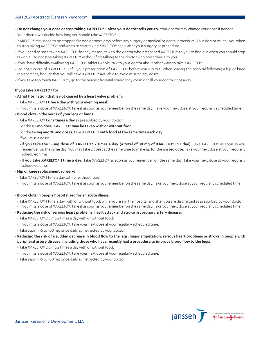- • **Do not change your dose or stop taking XARELTO® unless your doctor tells you to.** Your doctor may change your dose if needed.
- Your doctor will decide how long you should take XARELTO®.
- XARELTO® may need to be stopped for one or more days before any surgery or medical or dental procedure. Your doctor will tell you when to stop taking XARELTO® and when to start taking XARELTO® again after your surgery or procedure.
- If you need to stop taking XARELTO® for any reason, talk to the doctor who prescribed XARELTO® to you to find out when you should stop taking it. Do not stop taking XARELTO® without first talking to the doctor who prescribes it to you.
- If you have difficulty swallowing XARELTO® tablets whole, talk to your doctor about other ways to take XARELTO®.
- Do not run out of XARELTO®. Refill your prescription of XARELTO® before you run out. When leaving the hospital following a hip or knee replacement, be sure that you will have XARELTO® available to avoid missing any doses.
- If you take too much XARELTO®, go to the nearest hospital emergency room or call your doctor right away.

# **If you take XARELTO® for:**

- ° **Atrial Fibrillation that is not caused by a heart valve problem:**
- Take XARELTO® **1 time a day with your evening meal.**
- If you miss a dose of XARELTO®, take it as soon as you remember on the same day. Take your next dose at your regularly scheduled time.
- ° **Blood clots in the veins of your legs or lungs:**
- Take XARELTO® **1 or 2 times a day** as prescribed by your doctor.
- For the **10-mg dose**, XARELTO® **may be taken with or without food.**
- For the **15-mg and 20-mg doses**, take XARELTO® **with food at the same time each day.**
- If you miss a dose:
- �**If you take the 15-mg dose of XARELTO® 2 times a day (a total of 30 mg of XARELTO® in 1 day)**: Take XARELTO® as soon as you remember on the same day. You may take 2 doses at the same time to make up for the missed dose. Take your next dose at your regularly scheduled time.
- �**If you take XARELTO® 1 time a day:** Take XARELTO® as soon as you remember on the same day. Take your next dose at your regularly scheduled time.

# ° **Hip or knee replacement surgery:**

- Take XARELTO® 1 time a day with or without food.
- If you miss a dose of XARELTO®, take it as soon as you remember on the same day. Take your next dose at your regularly scheduled time.

# ° **Blood clots in people hospitalized for an acute illness:**

- Take XARELTO® 1 time a day, with or without food, while you are in the hospital and after you are discharged as prescribed by your doctor.
- If you miss a dose of XARELTO®, take it as soon as you remember on the same day. Take your next dose at your regularly scheduled time.

# ° **Reducing the risk of serious heart problems, heart attack and stroke in coronary artery disease:**

- Take XARELTO® 2.5 mg 2 times a day with or without food.
- If you miss a dose of XARELTO®, take your next dose at your regularly scheduled time.
- Take aspirin 75 to 100 mg once daily as instructed by your doctor.
- ° **Reducing the risk of a sudden decrease in blood flow to the legs, major amputation, serious heart problems or stroke in people with peripheral artery disease, including those who have recently had a procedure to improve blood flow to the legs:**
- Take XARELTO® 2.5 mg 2 times a day with or without food.
- If you miss a dose of XARELTO®, take your next dose at your regularly scheduled time.
- Take aspirin 75 to 100 mg once daily as instructed by your doctor.